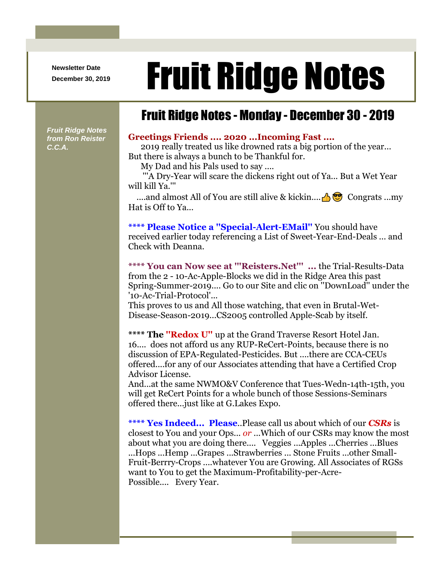**Newsletter Date**

# Newsletter Date **Fruit Ridge Notes**

### Fruit Ridge Notes - Monday - December 30 - 2019

*Fruit Ridge Notes from Ron Reister C.C.A.*

#### **Greetings Friends .... 2020 ...Incoming Fast ....**

2019 really treated us like drowned rats a big portion of the year... But there is always a bunch to be Thankful for.

My Dad and his Pals used to say ....

'''A Dry-Year will scare the dickens right out of Ya... But a Wet Year will kill Ya.'''

....and almost All of You are still alive & kickin....  $\bigoplus_{i=1}^{\infty}$  Congrats ...my Hat is Off to Ya...

**\*\*\*\* Please Notice a ''Special-Alert-EMail''** You should have received earlier today referencing a List of Sweet-Year-End-Deals ... and Check with Deanna.

**\*\*\*\* You can Now see at '''Reisters.Net''' ...** the Trial-Results-Data from the 2 - 10-Ac-Apple-Blocks we did in the Ridge Area this past Spring-Summer-2019.... Go to our Site and clic on ''DownLoad'' under the '10-Ac-Trial-Protocol'...

This proves to us and All those watching, that even in Brutal-Wet-Disease-Season-2019...CS2005 controlled Apple-Scab by itself.

**\*\*\*\* The ''Redox U''** up at the Grand Traverse Resort Hotel Jan. 16.... does not afford us any RUP-ReCert-Points, because there is no discussion of EPA-Regulated-Pesticides. But ....there are CCA-CEUs offered....for any of our Associates attending that have a Certified Crop Advisor License.

And...at the same NWMO&V Conference that Tues-Wedn-14th-15th, you will get ReCert Points for a whole bunch of those Sessions-Seminars offered there...just like at G.Lakes Expo.

**\*\*\*\* Yes Indeed... Please**..Please call us about which of our *CSRs* is closest to You and your Ops... *or* ...Which of our CSRs may know the most about what you are doing there.... Veggies ...Apples ...Cherries ...Blues ...Hops ...Hemp ...Grapes ...Strawberries ... Stone Fruits ...other Small-Fruit-Berrry-Crops ....whatever You are Growing. All Associates of RGSs want to You to get the Maximum-Profitability-per-Acre-Possible.... Every Year.